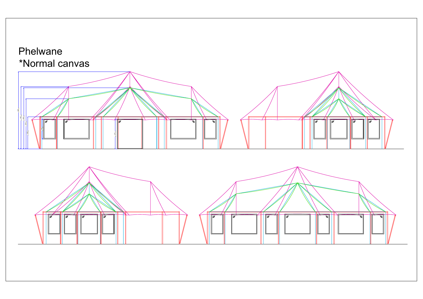



## Phelwane \*Normal canvas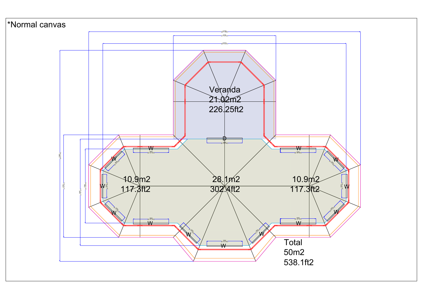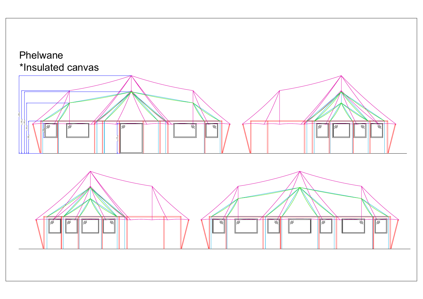





## Phelwane \*Insulated canvas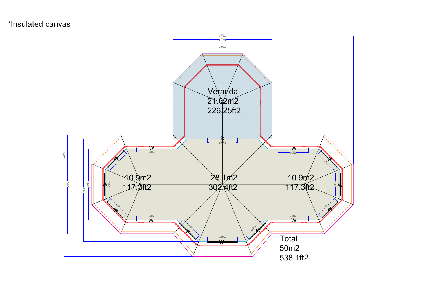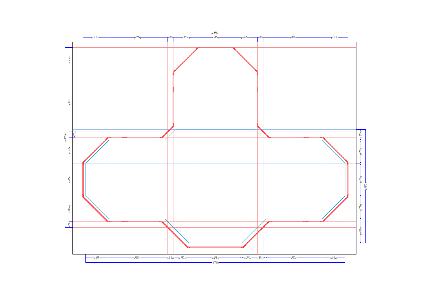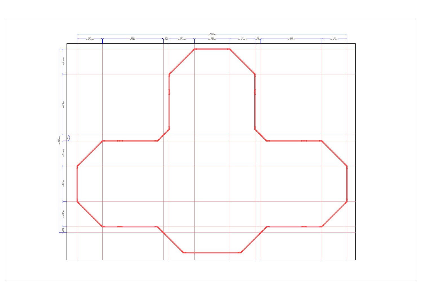